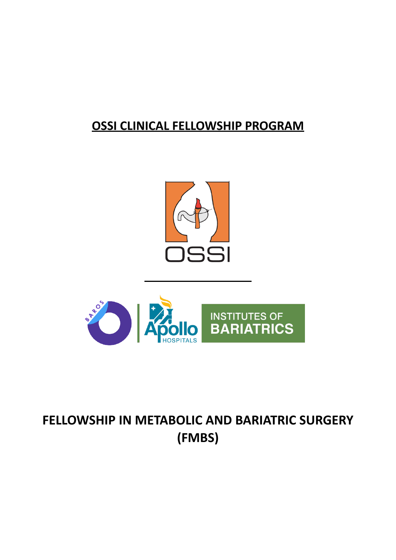# **OSSI CLINICAL FELLOWSHIP PROGRAM**





# **FELLOWSHIP IN METABOLIC AND BARIATRIC SURGERY (FMBS)**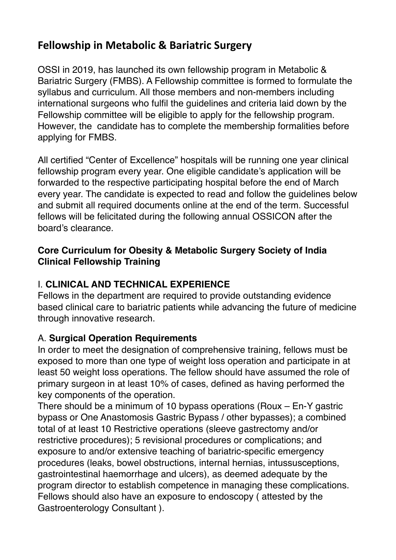# **Fellowship in Metabolic & Bariatric Surgery**

OSSI in 2019, has launched its own fellowship program in Metabolic & Bariatric Surgery (FMBS). A Fellowship committee is formed to formulate the syllabus and curriculum. All those members and non-members including international surgeons who fulfil the guidelines and criteria laid down by the Fellowship committee will be eligible to apply for the fellowship program. However, the candidate has to complete the membership formalities before applying for FMBS.

All certified "Center of Excellence" hospitals will be running one year clinical fellowship program every year. One eligible candidate's application will be forwarded to the respective participating hospital before the end of March every year. The candidate is expected to read and follow the guidelines below and submit all required documents online at the end of the term. Successful fellows will be felicitated during the following annual OSSICON after the board's clearance.

#### **Core Curriculum for Obesity & Metabolic Surgery Society of India Clinical Fellowship Training**

#### I. **CLINICAL AND TECHNICAL EXPERIENCE**

Fellows in the department are required to provide outstanding evidence based clinical care to bariatric patients while advancing the future of medicine through innovative research.

#### A. **Surgical Operation Requirements**

In order to meet the designation of comprehensive training, fellows must be exposed to more than one type of weight loss operation and participate in at least 50 weight loss operations. The fellow should have assumed the role of primary surgeon in at least 10% of cases, defined as having performed the key components of the operation.

There should be a minimum of 10 bypass operations (Roux – En-Y gastric bypass or One Anastomosis Gastric Bypass / other bypasses); a combined total of at least 10 Restrictive operations (sleeve gastrectomy and/or restrictive procedures); 5 revisional procedures or complications; and exposure to and/or extensive teaching of bariatric-specific emergency procedures (leaks, bowel obstructions, internal hernias, intussusceptions, gastrointestinal haemorrhage and ulcers), as deemed adequate by the program director to establish competence in managing these complications. Fellows should also have an exposure to endoscopy ( attested by the Gastroenterology Consultant ).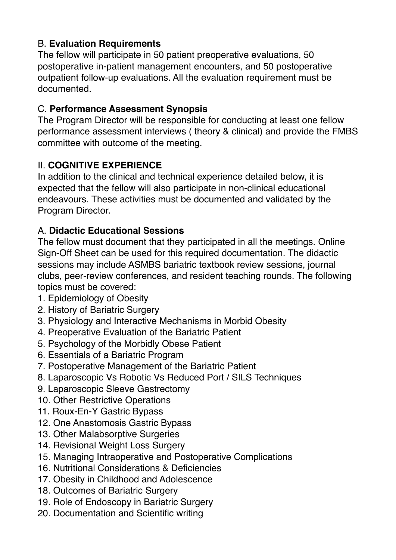## B. **Evaluation Requirements**

The fellow will participate in 50 patient preoperative evaluations, 50 postoperative in-patient management encounters, and 50 postoperative outpatient follow-up evaluations. All the evaluation requirement must be documented.

#### C. **Performance Assessment Synopsis**

The Program Director will be responsible for conducting at least one fellow performance assessment interviews ( theory & clinical) and provide the FMBS committee with outcome of the meeting.

#### II. **COGNITIVE EXPERIENCE**

In addition to the clinical and technical experience detailed below, it is expected that the fellow will also participate in non-clinical educational endeavours. These activities must be documented and validated by the Program Director.

#### A. **Didactic Educational Sessions**

The fellow must document that they participated in all the meetings. Online Sign-Off Sheet can be used for this required documentation. The didactic sessions may include ASMBS bariatric textbook review sessions, journal clubs, peer-review conferences, and resident teaching rounds. The following topics must be covered:

- 1. Epidemiology of Obesity
- 2. History of Bariatric Surgery
- 3. Physiology and Interactive Mechanisms in Morbid Obesity
- 4. Preoperative Evaluation of the Bariatric Patient
- 5. Psychology of the Morbidly Obese Patient
- 6. Essentials of a Bariatric Program
- 7. Postoperative Management of the Bariatric Patient
- 8. Laparoscopic Vs Robotic Vs Reduced Port / SILS Techniques
- 9. Laparoscopic Sleeve Gastrectomy
- 10. Other Restrictive Operations
- 11. Roux-En-Y Gastric Bypass
- 12. One Anastomosis Gastric Bypass
- 13. Other Malabsorptive Surgeries
- 14. Revisional Weight Loss Surgery
- 15. Managing Intraoperative and Postoperative Complications
- 16. Nutritional Considerations & Deficiencies
- 17. Obesity in Childhood and Adolescence
- 18. Outcomes of Bariatric Surgery
- 19. Role of Endoscopy in Bariatric Surgery
- 20. Documentation and Scientific writing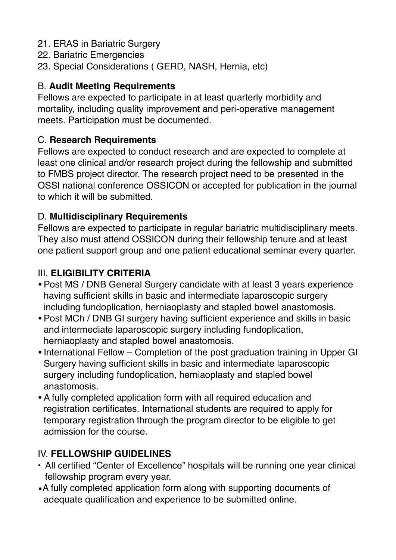- 21. ERAS in Bariatric Surgery
- 22. Bariatric Emergencies
- 23. Special Considerations ( GERD, NASH, Hernia, etc)

#### B. **Audit Meeting Requirements**

Fellows are expected to participate in at least quarterly morbidity and mortality, including quality improvement and peri-operative management meets. Participation must be documented.

#### C. **Research Requirements**

Fellows are expected to conduct research and are expected to complete at least one clinical and/or research project during the fellowship and submitted to FMBS project director. The research project need to be presented in the OSSI national conference OSSICON or accepted for publication in the journal to which it will be submitted.

#### D. **Multidisciplinary Requirements**

Fellows are expected to participate in regular bariatric multidisciplinary meets. They also must attend OSSICON during their fellowship tenure and at least one patient support group and one patient educational seminar every quarter.

## III. **ELIGIBILITY CRITERIA**

- •Post MS / DNB General Surgery candidate with at least 3 years experience having sufficient skills in basic and intermediate laparoscopic surgery including fundoplication, herniaoplasty and stapled bowel anastomosis.
- •Post MCh / DNB GI surgery having sufficient experience and skills in basic and intermediate laparoscopic surgery including fundoplication, herniaoplasty and stapled bowel anastomosis.
- International Fellow Completion of the post graduation training in Upper GI Surgery having sufficient skills in basic and intermediate laparoscopic surgery including fundoplication, herniaoplasty and stapled bowel anastomosis.
- •A fully completed application form with all required education and registration certificates. International students are required to apply for temporary registration through the program director to be eligible to get admission for the course.

#### IV. **FELLOWSHIP GUIDELINES**

- All certified "Center of Excellence" hospitals will be running one year clinical fellowship program every year.
- •A fully completed application form along with supporting documents of adequate qualification and experience to be submitted online.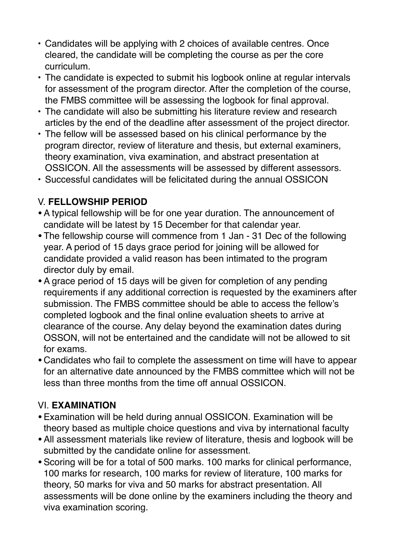- Candidates will be applying with 2 choices of available centres. Once cleared, the candidate will be completing the course as per the core curriculum.
- The candidate is expected to submit his logbook online at regular intervals for assessment of the program director. After the completion of the course, the FMBS committee will be assessing the logbook for final approval.
- The candidate will also be submitting his literature review and research articles by the end of the deadline after assessment of the project director.
- The fellow will be assessed based on his clinical performance by the program director, review of literature and thesis, but external examiners, theory examination, viva examination, and abstract presentation at OSSICON. All the assessments will be assessed by different assessors.
- Successful candidates will be felicitated during the annual OSSICON

#### V. **FELLOWSHIP PERIOD**

- •A typical fellowship will be for one year duration. The announcement of candidate will be latest by 15 December for that calendar year.
- •The fellowship course will commence from 1 Jan 31 Dec of the following year. A period of 15 days grace period for joining will be allowed for candidate provided a valid reason has been intimated to the program director duly by email.
- •A grace period of 15 days will be given for completion of any pending requirements if any additional correction is requested by the examiners after submission. The FMBS committee should be able to access the fellow's completed logbook and the final online evaluation sheets to arrive at clearance of the course. Any delay beyond the examination dates during OSSON, will not be entertained and the candidate will not be allowed to sit for exams.
- Candidates who fail to complete the assessment on time will have to appear for an alternative date announced by the FMBS committee which will not be less than three months from the time off annual OSSICON.

#### VI. **EXAMINATION**

- •Examination will be held during annual OSSICON. Examination will be theory based as multiple choice questions and viva by international faculty
- •All assessment materials like review of literature, thesis and logbook will be submitted by the candidate online for assessment.
- •Scoring will be for a total of 500 marks. 100 marks for clinical performance, 100 marks for research, 100 marks for review of literature, 100 marks for theory, 50 marks for viva and 50 marks for abstract presentation. All assessments will be done online by the examiners including the theory and viva examination scoring.